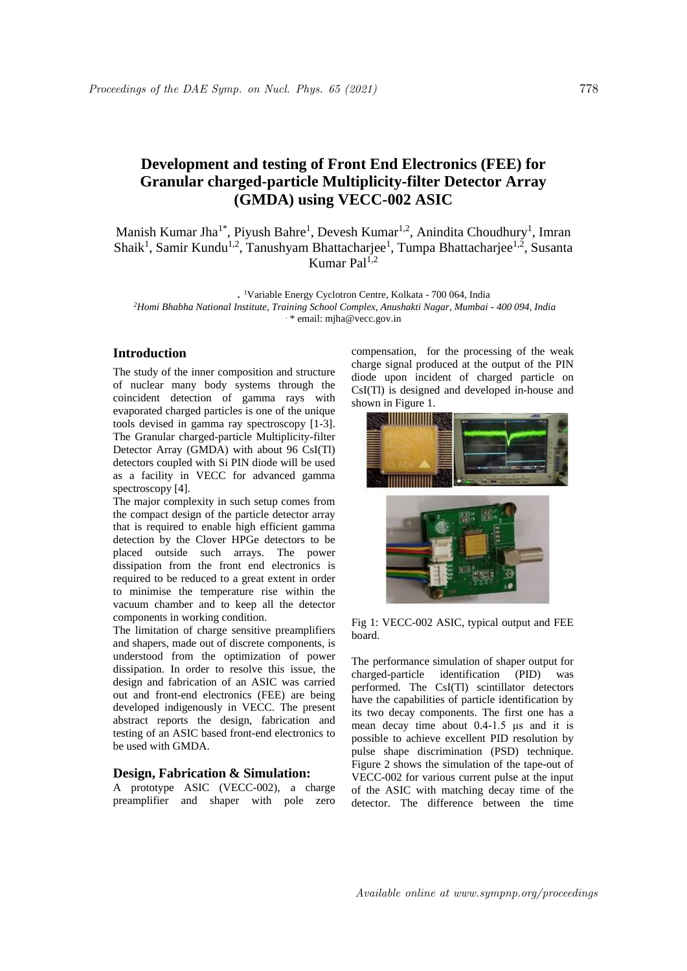# **Development and testing of Front End Electronics (FEE) for Granular charged-particle Multiplicity-filter Detector Array (GMDA) using VECC-002 ASIC**

Manish Kumar Jha<sup>1\*</sup>, Piyush Bahre<sup>1</sup>, Devesh Kumar<sup>1,2</sup>, Anindita Choudhury<sup>1</sup>, Imran Shaik<sup>1</sup>, Samir Kundu<sup>1,2</sup>, Tanushyam Bhattacharjee<sup>1</sup>, Tumpa Bhattacharjee<sup>1,2</sup>, Susanta Kumar Pal<sup>1,2</sup>

. <sup>1</sup>Variable Energy Cyclotron Centre, Kolkata - 700 064, India *<sup>2</sup>Homi Bhabha National Institute, Training School Complex, Anushakti Nagar, Mumbai - 400 094, India* . \* email: mjha@vecc.gov.in

#### **Introduction**

The study of the inner composition and structure of nuclear many body systems through the coincident detection of gamma rays with evaporated charged particles is one of the unique tools devised in gamma ray spectroscopy [1-3]. The Granular charged-particle Multiplicity-filter Detector Array (GMDA) with about 96 CsI(Tl) detectors coupled with Si PIN diode will be used as a facility in VECC for advanced gamma spectroscopy [4].

The major complexity in such setup comes from the compact design of the particle detector array that is required to enable high efficient gamma detection by the Clover HPGe detectors to be placed outside such arrays. The power dissipation from the front end electronics is required to be reduced to a great extent in order to minimise the temperature rise within the vacuum chamber and to keep all the detector components in working condition.

The limitation of charge sensitive preamplifiers and shapers, made out of discrete components, is understood from the optimization of power dissipation. In order to resolve this issue, the design and fabrication of an ASIC was carried out and front-end electronics (FEE) are being developed indigenously in VECC. The present abstract reports the design, fabrication and testing of an ASIC based front-end electronics to be used with GMDA.

### **Design, Fabrication & Simulation:**

A prototype ASIC (VECC-002), a charge preamplifier and shaper with pole zero compensation, for the processing of the weak charge signal produced at the output of the PIN diode upon incident of charged particle on CsI(Tl) is designed and developed in-house and shown in Figure 1.





Fig 1: VECC-002 ASIC, typical output and FEE board.

The performance simulation of shaper output for charged-particle identification (PID) was performed. The CsI(Tl) scintillator detectors have the capabilities of particle identification by its two decay components. The first one has a mean decay time about 0.4-1.5 μs and it is possible to achieve excellent PID resolution by pulse shape discrimination (PSD) technique. Figure 2 shows the simulation of the tape-out of VECC-002 for various current pulse at the input of the ASIC with matching decay time of the detector. The difference between the time